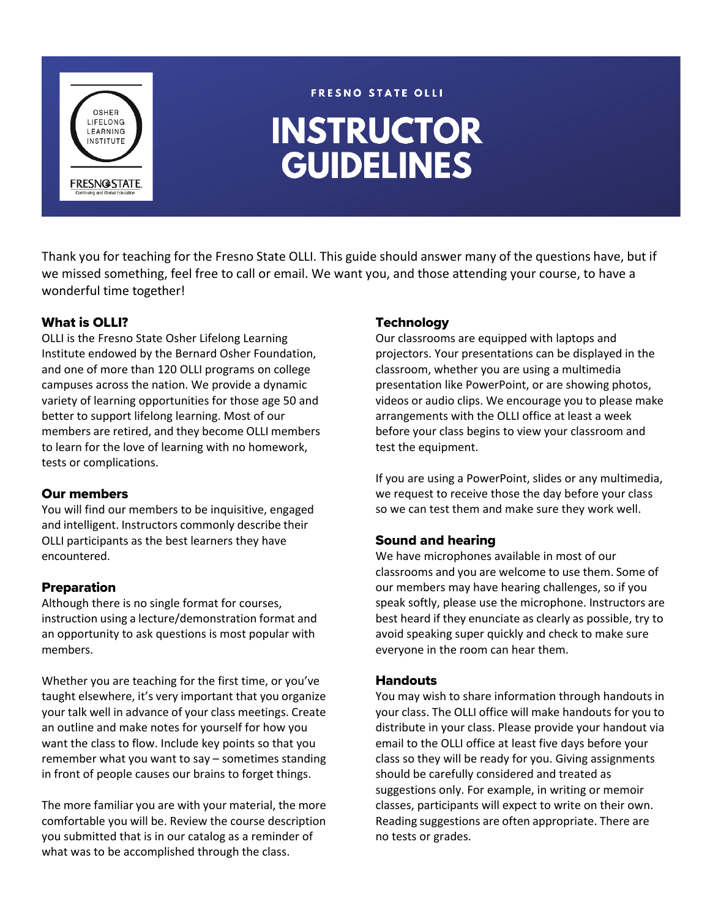

#### **FRESNO STATE OLLI**

# **INSTRUCTOR GUIDELINES**

Thank you for teaching for the Fresno State OLLI. This guide should answer many of the questions have, but if we missed something, feel free to call or email. We want you, and those attending your course, to have a wonderful time together!

# What is OLLI?

OLLI is the Fresno State Osher Lifelong Learning Institute endowed by the Bernard Osher Foundation, and one of more than 120 OLLI programs on college campuses across the nation. We provide a dynamic variety of learning opportunities for those age 50 and better to support lifelong learning. Most of our members are retired, and they become OLLI members to learn for the love of learning with no homework, tests or complications.

## Our members

You will find our members to be inquisitive, engaged and intelligent. Instructors commonly describe their OLLI participants as the best learners they have encountered.

# Preparation

Although there is no single format for courses, instruction using a lecture/demonstration format and an opportunity to ask questions is most popular with members.

Whether you are teaching for the first time, or you've taught elsewhere, it's very important that you organize your talk well in advance of your class meetings. Create an outline and make notes for yourself for how you want the class to flow. Include key points so that you remember what you want to say – sometimes standing in front of people causes our brains to forget things.

The more familiar you are with your material, the more comfortable you will be. Review the course description you submitted that is in our catalog as a reminder of what was to be accomplished through the class.

# **Technology**

Our classrooms are equipped with laptops and projectors. Your presentations can be displayed in the classroom, whether you are using a multimedia presentation like PowerPoint, or are showing photos, videos or audio clips. We encourage you to please make arrangements with the OLLI office at least a week before your class begins to view your classroom and test the equipment.

If you are using a PowerPoint, slides or any multimedia, we request to receive those the day before your class so we can test them and make sure they work well.

# Sound and hearing

We have microphones available in most of our classrooms and you are welcome to use them. Some of our members may have hearing challenges, so if you speak softly, please use the microphone. Instructors are best heard if they enunciate as clearly as possible, try to avoid speaking super quickly and check to make sure everyone in the room can hear them.

## **Handouts**

You may wish to share information through handouts in your class. The OLLI office will make handouts for you to distribute in your class. Please provide your handout via email to the OLLI office at least five days before your class so they will be ready for you. Giving assignments should be carefully considered and treated as suggestions only. For example, in writing or memoir classes, participants will expect to write on their own. Reading suggestions are often appropriate. There are no tests or grades.